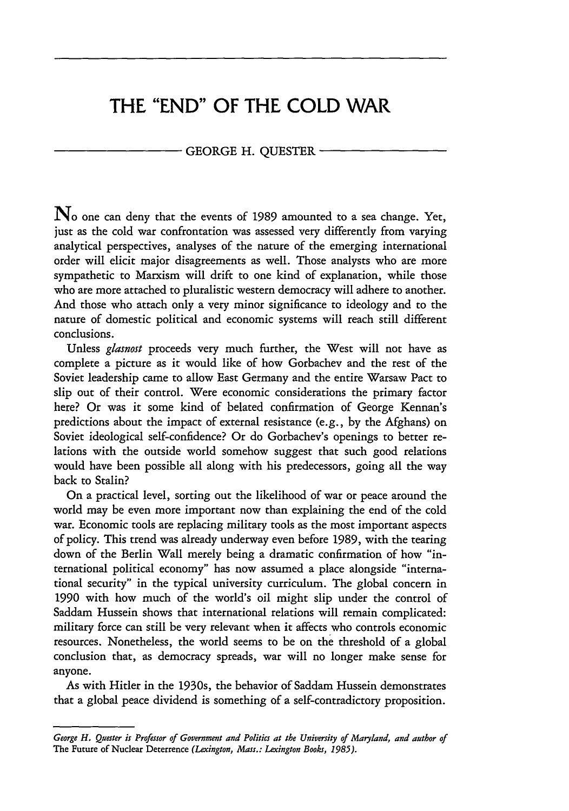# **THE "END" OF THE COLD WAR**

## GEORGE H. QUESTER

 $\mathbf{N}_0$  one can deny that the events of 1989 amounted to a sea change. Yet, just as the cold war confrontation was assessed very differently from varying analytical perspectives, analyses of the nature of the emerging international order will elicit major disagreements as well. Those analysts who are more sympathetic to Marxism will drift to one kind of explanation, while those who are more attached to pluralistic western democracy will adhere to another. And those who attach only a very minor significance to ideology and to the nature of domestic political and economic systems will reach still different conclusions.

Unless *glasnost* proceeds very much further, the West will not have as complete a picture as it would like of how Gorbachev and the rest of the Soviet leadership came to allow East Germany and the entire Warsaw Pact to slip out of their control. Were economic considerations the primary factor here? Or was it some kind of belated confirmation of George Kennan's predictions about the impact of external resistance (e.g., by the Afghans) on Soviet ideological self-confidence? Or do Gorbachev's openings to better relations with the outside world somehow suggest that such good relations would have been possible all along with his predecessors, going all the way back to Stalin?

On a practical level, sorting out the likelihood of war or peace around the world may be even more important now than explaining the end of the cold war. Economic tools are replacing military tools as the most important aspects of policy. This trend was already underway even before 1989, with the tearing down of the Berlin Wall merely being a dramatic confirmation of how "international political economy" has now assumed a place alongside "international security" in the typical university curriculum. The global concern in **1990** with how much of the world's oil might slip under the control of Saddam Hussein shows that international relations will remain complicated: military force can still be very relevant when it affects who controls economic resources. Nonetheless, the world seems to be on the threshold of a global conclusion that, as democracy spreads, war will no longer make sense for anyone.

As with Hitler in the 1930s, the behavior of Saddam Hussein demonstrates that a global peace dividend is something of a self-contradictory proposition.

*George H. Quester is Professor of Government and Politics at the University of Maryland, and author of* The Future of Nuclear Deterrence *(Lexington, Mass.: Lexington Books, 1985).*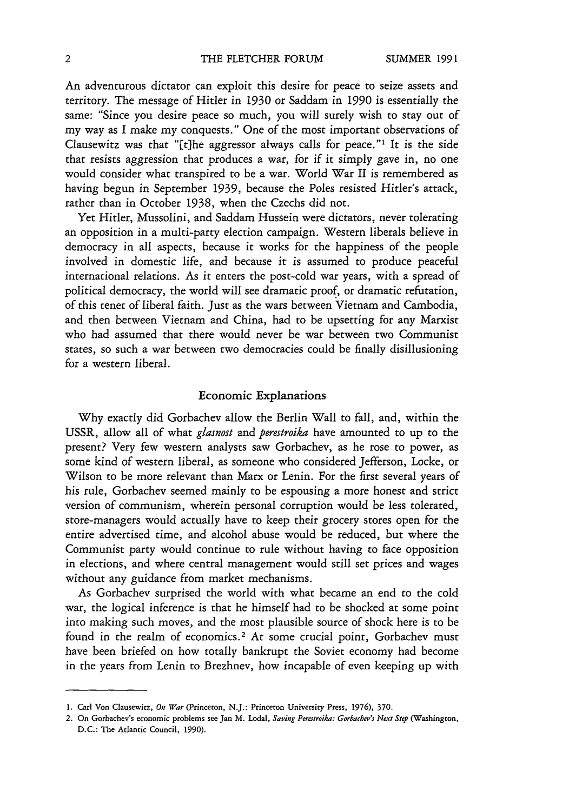An adventurous dictator can exploit this desire for peace to seize assets and territory. The message of Hitler in 1930 or Saddam in 1990 is essentially the same: "Since you desire peace so much, you will surely wish to stay out of my way as **I** make my conquests." One of the most important observations of Clausewitz was that "[t]he aggressor always calls for peace."<sup>1</sup> It is the side that resists aggression that produces a war, for if it simply gave in, no one would consider what transpired to be a war. World War II is remembered as having begun in September 1939, because the Poles resisted Hitler's attack, rather than in October 1938, when the Czechs did not.

Yet Hitler, Mussolini, and Saddam Hussein were dictators, never tolerating an opposition in a multi-party election campaign. Western liberals believe in democracy in all aspects, because it works for the happiness of the people involved in domestic life, and because it is assumed to produce peaceful international relations. As it enters the post-cold war years, with a spread of political democracy, the world will see dramatic proof, or dramatic refutation, of this tenet of liberal faith. Just as the wars between Vietnam and Cambodia, and then between Vietnam and China, had to be upsetting for any Marxist who had assumed that there would never be war between two Communist states, so such a war between two democracies could be finally disillusioning for a western liberal.

### Economic Explanations

Why exactly did Gorbachev allow the Berlin Wall to fall, and, within the **USSR,** allow all of what *glasnost* and *perestroika* have amounted to up to the present? Very few western analysts saw Gorbachev, as he rose to power, as some kind of western liberal, as someone who considered Jefferson, Locke, or Wilson to be more relevant than Marx or Lenin. For the first several years of his rule, Gorbachev seemed mainly to be espousing a more honest and strict version of communism, wherein personal corruption would be less tolerated, store-managers would actually have to keep their grocery stores open for the entire advertised time, and alcohol abuse would be reduced, but where the Communist party would continue to rule without having to face opposition in elections, and where central management would still set prices and wages without any guidance from market mechanisms.

As Gorbachev surprised the world with what became an end to the cold war, the logical inference is that he himself had to be shocked at some point into making such moves, and the most plausible source of shock here is to be found in the realm of economics.<sup>2</sup> At some crucial point, Gorbachev must have been briefed on how totally bankrupt the Soviet economy had become in the years from Lenin to Brezhnev, how incapable of even keeping up with

**<sup>1.</sup>** Carl **Von** Clausewitz, *On War* (Princeton, **N.J.:** Princeton University Press, **1976), 370.**

<sup>2.</sup> On Gorbachev's economic problems see **Jan M. Lodal,** *Saving Perestroika:* Gorbachev's *Next Step* (Washington, **D.C.:** The Atlantic Council, **1990).**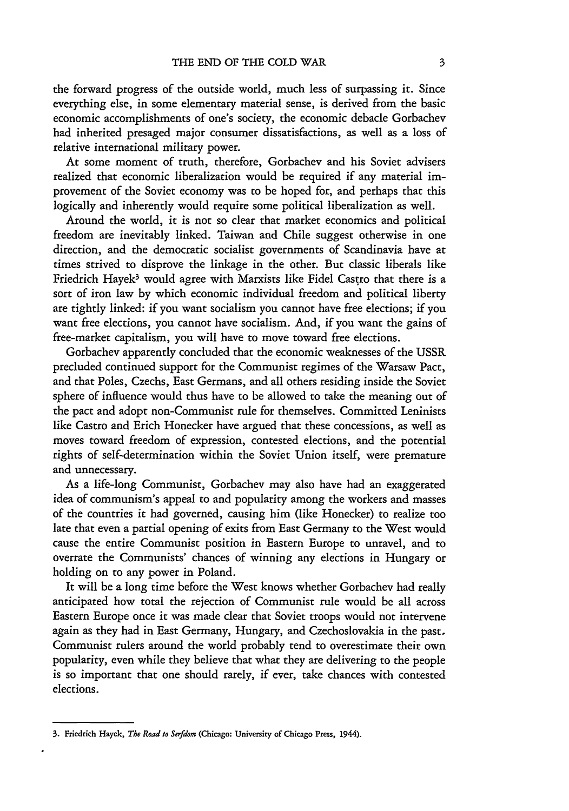the forward progress of the outside world, much less of surpassing it. Since everything else, in some elementary material sense, is derived from the basic economic accomplishments of one's society, the economic debacle Gorbachev had inherited presaged major consumer dissatisfactions, as well as a loss of relative international military power.

At some moment of truth, therefore, Gorbachev and his Soviet advisers realized that economic liberalization would be required if any material improvement of the Soviet economy was to be hoped for, and perhaps that this logically and inherently would require some political liberalization as well.

Around the world, it is not so clear that market economics and political freedom are inevitably linked. Taiwan and Chile suggest otherwise in one direction, and the democratic socialist governments of Scandinavia have at times strived to disprove the linkage in the other. But classic liberals like Friedrich Hayek<sup>3</sup> would agree with Marxists like Fidel Castro that there is a sort of iron law by which economic individual freedom and political liberty are tightly linked: if you want socialism you cannot have free elections; if you want free elections, you cannot have socialism. And, if you want the gains of free-market capitalism, you will have to move toward free elections.

Gorbachev apparently concluded that the economic weaknesses of the USSR precluded continued support for the Communist regimes of the Warsaw Pact, and that Poles, Czechs, East Germans, and all others residing inside the Soviet sphere of influence would thus have to be allowed to take the meaning out of the pact and adopt non-Communist rule for themselves. Committed Leninists like Castro and Erich Honecker have argued that these concessions, as well as moves toward freedom of expression, contested elections, and the potential rights of self-determination within the Soviet Union itself, were premature and unnecessary.

As a life-long Communist, Gorbachev may also have had an exaggerated idea of communism's appeal to and popularity among the workers and masses of the countries it had governed, causing him (like Honecker) to realize too late that even a partial opening of exits from East Germany to the West would cause the entire Communist position in Eastern Europe to unravel, and to overrate the Communists' chances of winning any elections in Hungary or holding on to any power in Poland.

It will be a long time before the West knows whether Gorbachev had really anticipated how total the rejection of Communist rule would be all across Eastern Europe once it was made clear that Soviet troops would not intervene again as they had in East Germany, Hungary, and Czechoslovakia in the past. Communist rulers around the world probably tend to overestimate their own popularity, even while they believe that what they are delivering to the people is so important that one should rarely, if ever, take chances with contested elections.

<sup>3.</sup> Friedrich Hayek, *The Road to Serfdom* (Chicago: University of Chicago Press, 1944).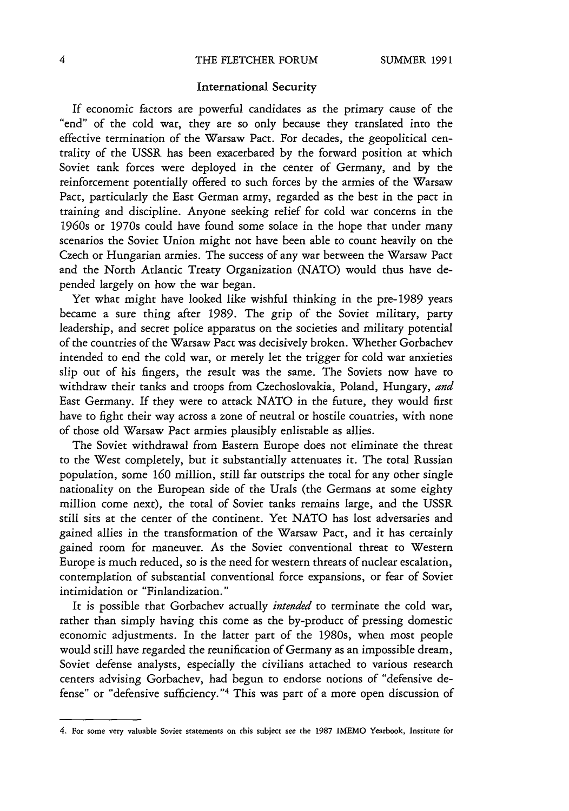## International Security

If economic factors are powerful candidates as the primary cause of the "end" of the cold war, they are so only because they translated into the effective termination of the Warsaw Pact. For decades, the geopolitical centrality of the **USSR** has been exacerbated by the forward position at which Soviet tank forces were deployed in the center of Germany, and by the reinforcement potentially offered to such forces by the armies of the Warsaw Pact, particularly the East German army, regarded as the best in the pact in training and discipline. Anyone seeking relief for cold war concerns in the 1960s or 1970s could have found some solace in the hope that under many scenarios the Soviet Union might not have been able to count heavily on the Czech or Hungarian armies. The success of any war between the Warsaw Pact and the North Atlantic Treaty Organization (NATO) would thus have depended largely on how the war began.

Yet what might have looked like wishful thinking in the pre-1989 years became a sure thing after 1989. The grip of the Soviet military, party leadership, and secret police apparatus on the societies and military potential of the countries of the Warsaw Pact was decisively broken. Whether Gorbachev intended to end the cold war, or merely let the trigger for cold war anxieties slip out of his fingers, the result was the same. The Soviets now have to withdraw their tanks and troops from Czechoslovakia, Poland, Hungary, *and* East Germany. If they were to attack NATO in the future, they would first have to fight their way across a zone of neutral or hostile countries, with none of those old Warsaw Pact armies plausibly enlistable as allies.

The Soviet withdrawal from Eastern Europe does not eliminate the threat to the West completely, but it substantially attenuates it. The total Russian population, some 160 million, still far outstrips the total for any other single nationality on the European side of the Urals (the Germans at some eighty million come next), the total of Soviet tanks remains large, and the **USSR** still sits at the center of the continent. Yet NATO has lost adversaries and gained allies in the transformation of the Warsaw Pact, and it has certainly gained room for maneuver. As the Soviet conventional threat to Western Europe is much reduced, so is the need for western threats of nuclear escalation, contemplation of substantial conventional force expansions, or fear of Soviet intimidation or "Finlandization."

It is possible that Gorbachev actually *intended* to terminate the cold war, rather than simply having this come as the by-product of pressing domestic economic adjustments. In the latter part of the 1980s, when most people would still have regarded the reunification of Germany as an impossible dream, Soviet defense analysts, especially the civilians attached to various research centers advising Gorbachev, had begun to endorse notions of "defensive defense" or "defensive sufficiency."<sup>4</sup> This was part of a more open discussion of

**<sup>4.</sup> For** some very valuable Soviet statements **on** this subject see the **1987 IMEMO Yearbook,** Institute **for**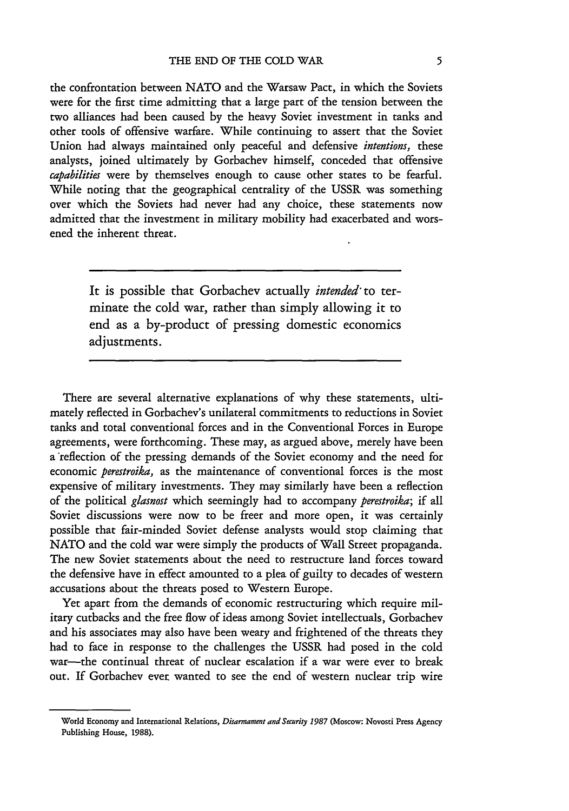the confrontation between NATO and the Warsaw Pact, in which the Soviets were for the first time admitting that a large part of the tension between the two alliances had been caused by the heavy Soviet investment in tanks and other tools of offensive warfare. While continuing to assert that the Soviet Union had always maintained only peaceful and defensive *intentions,* these analysts, joined ultimately by Gorbachev himself, conceded that offensive *capabilities* were by themselves enough to cause other states to be fearful. While noting that the geographical centrality of the **USSR** was something over which the Soviets had never had any choice, these statements now admitted that the investment in military mobility had exacerbated and worsened the inherent threat.

> It is possible that Gorbachev actually *intended-* to terminate the cold war, rather than simply allowing it to end as a by-product of pressing domestic economics adjustments.

There are several alternative explanations of why these statements, ultimately reflected in Gorbachev's unilateral commitments to reductions in Soviet tanks and total conventional forces and in the Conventional Forces in Europe agreements, were forthcoming. These may, as argued above, merely have been a reflection of the pressing demands of the Soviet economy and the need for economic *perestroika,* as the maintenance of conventional forces is the most expensive of military investments. They may similarly have been a reflection of the political *glasnost* which seemingly had to accompany *perestroika;* if all Soviet discussions were now to be freer and more open, it was certainly possible that fair-minded Soviet defense analysts would stop claiming that NATO and the cold war were simply the products of Wall Street propaganda. The new Soviet statements about the need to restructure land forces toward the defensive have in effect amounted to a plea of guilty to decades of western accusations about the threats posed to Western Europe.

Yet apart from the demands of economic restructuring which require military cutbacks and the free flow of ideas among Soviet intellectuals, Gorbachev and his associates may also have been weary and frightened of the threats they had to face in response to the challenges the USSR had posed in the cold war-the continual threat of nuclear escalation if a war were ever to break out. If Gorbachev ever wanted to see the end of western nuclear trip wire

World Economy and International Relations, *Disarmament and Seturity 1987* (Moscow: Novosti Press Agency Publishing House, 1988).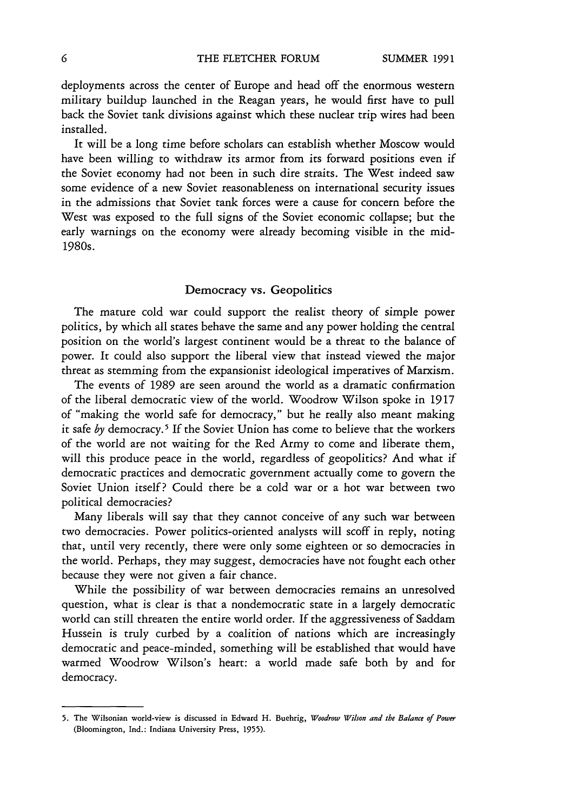deployments across the center of Europe and head off the enormous western military buildup launched in the Reagan years, he would first have to pull back the Soviet tank divisions against which these nuclear trip wires had been installed.

It will be a long time before scholars can establish whether Moscow would have been willing to withdraw its armor from its forward positions even if the Soviet economy had not been in such dire straits. The West indeed saw some evidence of a new Soviet reasonableness on international security issues in the admissions that Soviet tank forces were a cause for concern before the West was exposed to the full signs of the Soviet economic collapse; but the early warnings on the economy were already becoming visible in the mid-1980s.

#### Democracy vs. Geopolitics

The mature cold war could support the realist theory of simple power politics, by which all states behave the same and any power holding the central position on the world's largest continent would be a threat to the balance of power. It could also support the liberal view that instead viewed the major threat as stemming from the expansionist ideological imperatives of Marxism.

The events of 1989 are seen around the world as a dramatic confirmation of the liberal democratic view of the world. Woodrow Wilson spoke in 1917 of "making the world safe for democracy," but he really also meant making it safe by democracy.<sup>5</sup> If the Soviet Union has come to believe that the workers of the world are not waiting for the Red Army to come and liberate them, will this produce peace in the world, regardless of geopolitics? And what if democratic practices and democratic government actually come to govern the Soviet Union itself? Could there be a cold war or a hot war between two political democracies?

Many liberals will say that they cannot conceive of any such war between two democracies. Power politics-oriented analysts will scoff in reply, noting that, until very recently, there were only some eighteen or so democracies in the world. Perhaps, they may suggest, democracies have not fought each other because they were not given a fair chance.

While the possibility of war between democracies remains an unresolved question, what is clear is that a nondemocratic state in a largely democratic world can still threaten the entire world order. If the aggressiveness of Saddam Hussein is truly curbed by a coalition of nations which are increasingly democratic and peace-minded, something will be established that would have warmed Woodrow Wilson's heart: a world made safe both by and for democracy.

**<sup>5.</sup>** The Wilsonian world-view is discussed in Edward H. Buehrig, *Woodrow Wilson and the Balance of Power* (Bloomington, Ind.: Indiana University Press, **1955).**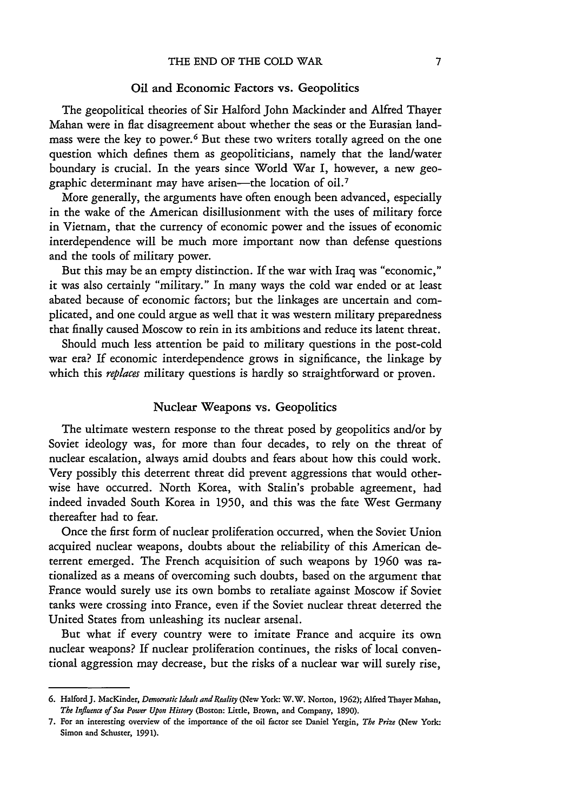# Oil and Economic Factors vs. Geopolitics

The geopolitical theories of Sir Halford John Mackinder and Alfred Thayer Mahan were in flat disagreement about whether the seas or the Eurasian landmass were the key to power.<sup>6</sup> But these two writers totally agreed on the one question which defines them as geopoliticians, namely that the land/water boundary is crucial. In the years since World War I, however, a new geographic determinant may have arisen—the location of oil.<sup>7</sup>

More generally, the arguments have often enough been advanced, especially in the wake of the American disillusionment with the uses of military force in Vietnam, that the currency of economic power and the issues of economic interdependence will be much more important now than defense questions and the tools of military power.

But this may be an empty distinction. If the war with Iraq was "economic," it was also certainly "military." In many ways the cold war ended or at least abated because of economic factors; but the linkages are uncertain and complicated, and one could argue as well that it was western military preparedness that finally caused Moscow to rein in its ambitions and reduce its latent threat.

Should much less attention be paid to military questions in the post-cold war era? If economic interdependence grows in significance, the linkage by which this *replaces* military questions is hardly so straightforward or proven.

# Nuclear Weapons vs. Geopolitics

The ultimate western response to the threat posed by geopolitics and/or by Soviet ideology was, for more than four decades, to rely on the threat of nuclear escalation, always amid doubts and fears about how this could work. Very possibly this deterrent threat did prevent aggressions that would otherwise have occurred. North Korea, with Stalin's probable agreement, had indeed invaded South Korea in 1950, and this was the fate West Germany thereafter had to fear.

Once the first form of nuclear proliferation occurred, when the Soviet Union acquired nuclear weapons, doubts about the reliability of this American deterrent emerged. The French acquisition of such weapons by 1960 was rationalized as a means of overcoming such doubts, based on the argument that France would surely use its own bombs to retaliate against Moscow if Soviet tanks were crossing into France, even if the Soviet nuclear threat deterred the United States from unleashing its nuclear arsenal.

But what if every country were to imitate France and acquire its own nuclear weapons? If nuclear proliferation continues, the risks of local conventional aggression may decrease, but the risks of a nuclear war will surely rise,

**<sup>6.</sup>** HalfordJ. MacKinder, *Democratic Ideals andReality* (New **York:** W.W. **Norton, 1962);** Alfred Thayer **Mahan,** *The Influence of Sea Power Upon History* (Boston: Little, Brown, **and** Company, **1890).**

**<sup>7.</sup> For an** interesting overview **of** the importance **of** the **oil** factor see Daniel Yergin, *The Prize* (New **York:** Simon **and** Schuster, **1991).**